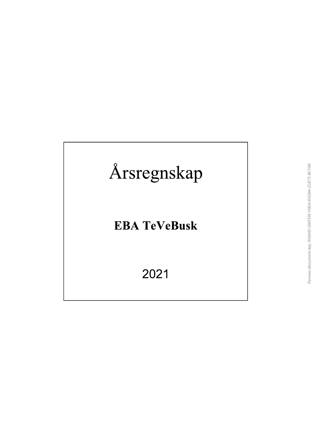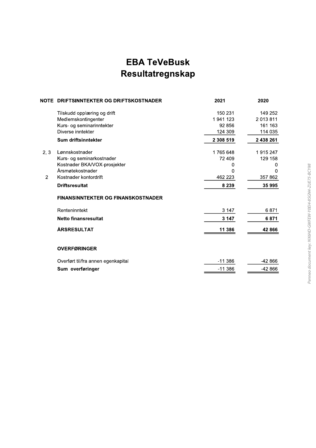# **EBA TeVeBusk** Resultatregnskap

| 150 231<br>149 252<br>Tilskudd opplæring og drift<br>2013811<br>Medlemskontingenter<br>1941123<br>Kurs- og seminarinntekter<br>161 163<br>92 856<br>Diverse inntekter<br>124 309<br>114 035<br>Sum driftsinntekter<br>2 308 519<br>2 438 261<br>Lønnskostnader<br>2, 3<br>1765648<br>1915247<br>Kurs- og seminarkostnader<br>72 409<br>129 158<br>Kostnader BKA/VOX-prosjekter<br>0<br>0<br>Årsmøtekostnader<br>0<br>$\Omega$<br>357 862<br>Kostnader kontordrift<br>462 223<br>$\overline{2}$<br>35 995<br><b>Driftsresultat</b><br>8 2 3 9<br><b>FINANSINNTEKTER OG FINANSKOSTNADER</b><br>6871<br>Renteninntekt<br>3 147<br>6871<br><b>Netto finansresultat</b><br>3 147<br><b>ÅRSRESULTAT</b><br>11 386<br>42 866<br><b>OVERFØRINGER</b><br>$-11386$<br>$-42866$<br>Overført til/fra annen egenkapital<br>-42 866<br>Sum overføringer<br>$-11386$ | NOTE DRIFTSINNTEKTER OG DRIFTSKOSTNADER | 2021 | 2020 |
|-------------------------------------------------------------------------------------------------------------------------------------------------------------------------------------------------------------------------------------------------------------------------------------------------------------------------------------------------------------------------------------------------------------------------------------------------------------------------------------------------------------------------------------------------------------------------------------------------------------------------------------------------------------------------------------------------------------------------------------------------------------------------------------------------------------------------------------------------------|-----------------------------------------|------|------|
|                                                                                                                                                                                                                                                                                                                                                                                                                                                                                                                                                                                                                                                                                                                                                                                                                                                       |                                         |      |      |
|                                                                                                                                                                                                                                                                                                                                                                                                                                                                                                                                                                                                                                                                                                                                                                                                                                                       |                                         |      |      |
|                                                                                                                                                                                                                                                                                                                                                                                                                                                                                                                                                                                                                                                                                                                                                                                                                                                       |                                         |      |      |
|                                                                                                                                                                                                                                                                                                                                                                                                                                                                                                                                                                                                                                                                                                                                                                                                                                                       |                                         |      |      |
|                                                                                                                                                                                                                                                                                                                                                                                                                                                                                                                                                                                                                                                                                                                                                                                                                                                       |                                         |      |      |
|                                                                                                                                                                                                                                                                                                                                                                                                                                                                                                                                                                                                                                                                                                                                                                                                                                                       |                                         |      |      |
|                                                                                                                                                                                                                                                                                                                                                                                                                                                                                                                                                                                                                                                                                                                                                                                                                                                       |                                         |      |      |
|                                                                                                                                                                                                                                                                                                                                                                                                                                                                                                                                                                                                                                                                                                                                                                                                                                                       |                                         |      |      |
|                                                                                                                                                                                                                                                                                                                                                                                                                                                                                                                                                                                                                                                                                                                                                                                                                                                       |                                         |      |      |
|                                                                                                                                                                                                                                                                                                                                                                                                                                                                                                                                                                                                                                                                                                                                                                                                                                                       |                                         |      |      |
|                                                                                                                                                                                                                                                                                                                                                                                                                                                                                                                                                                                                                                                                                                                                                                                                                                                       |                                         |      |      |
|                                                                                                                                                                                                                                                                                                                                                                                                                                                                                                                                                                                                                                                                                                                                                                                                                                                       |                                         |      |      |
|                                                                                                                                                                                                                                                                                                                                                                                                                                                                                                                                                                                                                                                                                                                                                                                                                                                       |                                         |      |      |
|                                                                                                                                                                                                                                                                                                                                                                                                                                                                                                                                                                                                                                                                                                                                                                                                                                                       |                                         |      |      |
|                                                                                                                                                                                                                                                                                                                                                                                                                                                                                                                                                                                                                                                                                                                                                                                                                                                       |                                         |      |      |
|                                                                                                                                                                                                                                                                                                                                                                                                                                                                                                                                                                                                                                                                                                                                                                                                                                                       |                                         |      |      |
|                                                                                                                                                                                                                                                                                                                                                                                                                                                                                                                                                                                                                                                                                                                                                                                                                                                       |                                         |      |      |
|                                                                                                                                                                                                                                                                                                                                                                                                                                                                                                                                                                                                                                                                                                                                                                                                                                                       |                                         |      |      |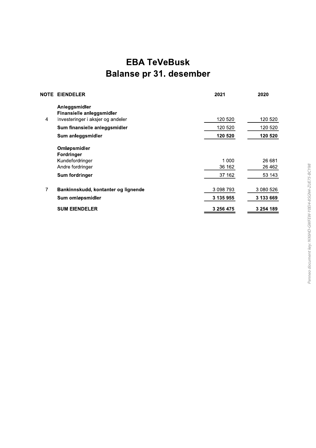# **EBA TeVeBusk Balanse pr 31. desember**

|   | <b>NOTE EIENDELER</b>                      | 2021      | 2020      |
|---|--------------------------------------------|-----------|-----------|
|   | Anleggsmidler<br>Finansielle anleggsmidler |           |           |
| 4 | Investeringer i aksjer og andeler          | 120 520   | 120 520   |
|   | Sum finansielle anleggsmidler              | 120 520   | 120 520   |
|   | Sum anleggsmidler                          | 120 520   | 120 520   |
|   | Omløpsmidler<br><b>Fordringer</b>          |           |           |
|   | Kundefordringer                            | 1 000     | 26 681    |
|   | Andre fordringer                           | 36 162    | 26 4 6 2  |
|   | Sum fordringer                             | 37 162    | 53 143    |
| 7 | Bankinnskudd, kontanter og lignende        | 3 098 793 | 3 080 526 |
|   | Sum omløpsmidler                           | 3 135 955 | 3 133 669 |
|   | <b>SUM EIENDELER</b>                       | 3 256 475 | 3 254 189 |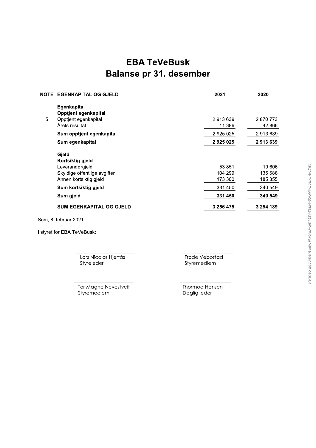# **EBA TeVeBusk Balanse pr 31. desember**

|   | <b>NOTE EGENKAPITAL OG GJELD</b>           | 2021              | 2020              |
|---|--------------------------------------------|-------------------|-------------------|
|   | <b>Egenkapital</b><br>Opptjent egenkapital |                   |                   |
| 5 | Opptjent egenkapital<br>Årets resultat     | 2913639<br>11 386 | 2870773<br>42 866 |
|   | Sum opptjent egenkapital                   | 2 925 025         | 2913639           |
|   | Sum egenkapital                            | 2925025           | 2913639           |
|   | Gjeld                                      |                   |                   |
|   | Kortsiktig gjeld                           |                   |                   |
|   | Leverandørgjeld                            | 53 851            | 19 606            |
|   | Skyldige offentlige avgifter               | 104 299           | 135 588           |
|   | Annen kortsiktig gjeld                     | 173 300           | 185 355           |
|   | Sum kortsiktig gjeld                       | 331 450           | 340 549           |
|   | Sum gjeld                                  | 331 450           | 340 549           |
|   | <b>SUM EGENKAPITAL OG GJELD</b>            | 3 256 475         | 3 254 189         |

Sem, 8. februar 2021

I styret for EBA TeVeBusk:

Lars Nicolas Hjertås Styreleder

Frode Vebostad Styremedlem

Tor Magne Nevestveit Styremedlem

Thormod Hansen Daglig leder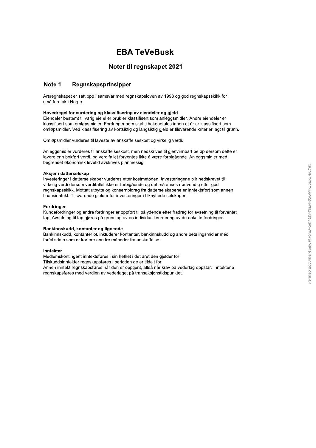# **EBA TeVeBusk**

# Noter til regnskapet 2021

#### Note 1 Regnskapsprinsipper

Årsregnskapet er satt opp i samsvar med regnskapsloven av 1998 og god regnskapsskikk for små foretak i Norge.

## Hovedregel for vurdering og klassifisering av eiendeler og gjeld

Eiendeler bestemt til varig eie eller bruk er klassifisert som anleggsmidler. Andre eiendeler er klassifisert som omløpsmidler. Fordringer som skal tilbakebetales innen et år er klassifisert som omløpsmidler. Ved klassifisering av kortsiktig og langsiktig gjeld er tilsvarende kriterier lagt til grunn.

Omløpsmidler vurderes til laveste av anskaffelseskost og virkelig verdi.

Anleggsmidler vurderes til anskaffelseskost, men nedskrives til gjenvinnbart beløp dersom dette er lavere enn bokført verdi, og verdifallet forventes ikke å være forbigående. Anleggsmidler med begrenset økonomisk levetid avskrives planmessig.

# Aksier i datterselskap

Investeringer i datterselskaper vurderes etter kostmetoden. Investeringene blir nedskrevet til virkelig verdi dersom verdifallet ikke er forbigående og det må anses nødvendig etter god regnskapsskikk. Mottatt utbytte og konsernbidrag fra datterselskapene er inntektsført som annen finansinntekt. Tilsvarende gjelder for investeringer i tilknyttede selskaper.

# **Fordringer**

Kundefordringer og andre fordringer er oppført til pålydende etter fradrag for avsetning til forventet tap. Avsetning til tap gjøres på grunnlag av en individuell vurdering av de enkelte fordringer.

## Bankinnskudd, kontanter og lignende

Bankinnskudd, kontanter ol. inkluderer kontanter, bankinnskudd og andre betalingsmidler med forfallsdato som er kortere enn tre måneder fra anskaffelse.

## Inntekter

Medlemskontingent inntektsføres i sin helhet i det året den gjelder for.

Tilskuddsinntekter regnskapsføres i perioden de er tildelt for.

Annen inntekt regnskapsføres når den er opptient, altså når krav på vederlag oppstår. Inntektene regnskapsføres med verdien av vederlaget på transaksjonstidspunktet.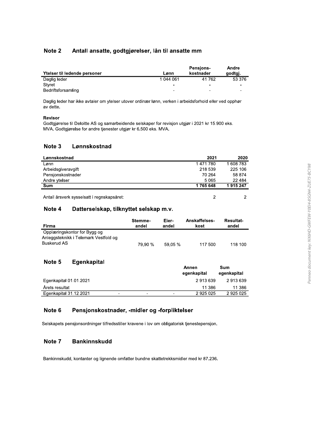#### Note 2 Antall ansatte, godtgjørelser, lån til ansatte mm

| Ytelser til ledende personer | Lønn                     | <b>Pensions-</b><br>kostnader | Andre<br>godtgj. |
|------------------------------|--------------------------|-------------------------------|------------------|
| Daglig leder                 | 1 044 061                | 41762                         | 53 376           |
| Styret                       | $\overline{\phantom{0}}$ | $\overline{\phantom{0}}$      |                  |
| Bedriftsforsamling           | -                        | -                             |                  |

Daglig leder har ikke avtaler om ytelser utover ordinær lønn, verken i arbeidsforhold eller ved opphør av dette.

# Revisor

Godtgjørelse til Deloitte AS og samarbeidende selskaper for revisjon utgjør i 2021 kr 15.900 eks. MVA. Godtgjørelse for andre tjenester utgjør kr 6.500 eks. MVA.

#### Note 3 Lønnskostnad

| Lønnskostnad                               | 2021    | 2020      |
|--------------------------------------------|---------|-----------|
| Lønn                                       | 1471780 | 1 608 783 |
| Arbeidsgiveravgift                         | 218 539 | 225 106   |
| Pensjonskostnader                          | 70 264  | 58 874    |
| Andre ytelser                              | 5065    | 22 4 8 4  |
| <b>Sum</b>                                 | 1765648 | 1915247   |
| Antall årsverk sysselsatt i regnskapsåret: | 2       |           |

#### Datterselskap, tilknyttet selskap m.v. Note 4

| Firma                                                                                | Stemme- | Eier-   | <b>Anskaffelses-</b> | <b>Resultat-</b> |
|--------------------------------------------------------------------------------------|---------|---------|----------------------|------------------|
|                                                                                      | andel   | andel   | kost                 | andel            |
| Opplæringskontor for Bygg og<br>Anleggsteknikk i Telemark Vestfold og<br>Buskerud AS | 79.90 % | 59.05 % | 117 500              | 118 100          |

#### Note 5 Egenkapital

|                        |   |   |   | Annen<br>eqenkapital | Sum<br>egenkapital |
|------------------------|---|---|---|----------------------|--------------------|
|                        |   |   |   |                      |                    |
| Egenkapital 01.01.2021 |   |   |   | 2913639              | 2913639            |
| Arets resultat         |   |   |   | 11 386               | 11 386             |
| Egenkapital 31.12.2021 | - | - | - | 2925025              | 2925025            |

#### Note 6 Pensjonskostnader, -midler og -forpliktelser

Selskapets pensjonsordninger tilfredsstiller kravene i lov om obligatorisk tjenestepensjon.

#### Note 7 **Bankinnskudd**

Bankinnskudd, kontanter og lignende omfatter bundne skattetrekksmidler med kr 87.236.